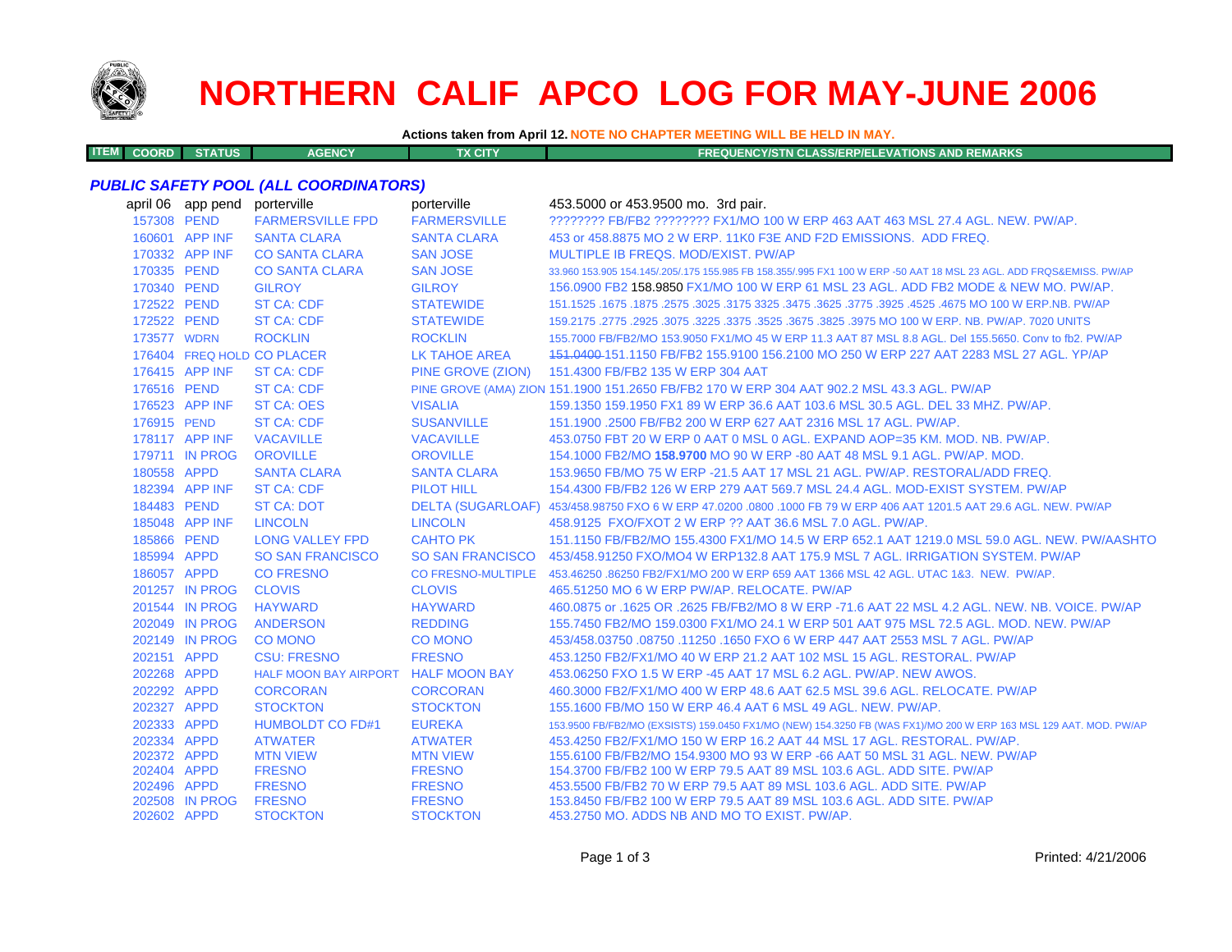

**ITEM**

# **NORTHERN CALIF APCO LOG FOR MAY-JUNE 2006**

**Actions taken from April 12. NOTE NO CHAPTER MEETING WILL BE HELD IN MAY.**

**COORD STATUS AGENCY TX CITY FREQUENCY/STN CLASS/ERP/ELEVATIONS AND REMARKS**

#### *PUBLIC SAFETY POOL (ALL COORDINATORS)*

|             | april 06 app pend | porterville                         | porterville               | 453.5000 or 453.9500 mo. 3rd pair.                                                                                  |
|-------------|-------------------|-------------------------------------|---------------------------|---------------------------------------------------------------------------------------------------------------------|
| 157308 PEND |                   | <b>FARMERSVILLE FPD</b>             | <b>FARMERSVILLE</b>       | ???????? FB/FB2 ???????? FX1/MO 100 W ERP 463 AAT 463 MSL 27.4 AGL, NEW, PW/AP,                                     |
|             | 160601 APP INF    | <b>SANTA CLARA</b>                  | <b>SANTA CLARA</b>        | 453 or 458.8875 MO 2 W ERP. 11K0 F3E AND F2D EMISSIONS. ADD FREQ.                                                   |
|             | 170332 APP INF    | <b>CO SANTA CLARA</b>               | <b>SAN JOSE</b>           | MULTIPLE IB FREQS, MOD/EXIST, PW/AP                                                                                 |
| 170335 PEND |                   | <b>CO SANTA CLARA</b>               | <b>SAN JOSE</b>           | 33,960 153,905 154,145/.205/.175 155,985 FB 158,355/.995 FX1 100 W ERP -50 AAT 18 MSL 23 AGL. ADD FRQS&EMISS, PW/AP |
| 170340 PEND |                   | <b>GILROY</b>                       | <b>GILROY</b>             | 156.0900 FB2 158.9850 FX1/MO 100 W ERP 61 MSL 23 AGL. ADD FB2 MODE & NEW MO. PW/AP.                                 |
| 172522 PEND |                   | <b>ST CA: CDF</b>                   | <b>STATEWIDE</b>          | 151.1525 .1675 .1875 .3025 .3175 .3625 .3625 .3775 .3625 .3775 .3625 .3775 .3925 .1675 .1675 .1675 .                |
| 172522 PEND |                   | <b>ST CA: CDF</b>                   | <b>STATEWIDE</b>          | 159,2175, 2775, 2925, 3075, 3225, 3375, 3525, 3675, 3825, 3975 MO 100 W ERP, NB, PW/AP, 7020 UNITS                  |
| 173577 WDRN |                   | <b>ROCKLIN</b>                      | <b>ROCKLIN</b>            | 155,7000 FB/FB2/MO 153,9050 FX1/MO 45 W ERP 11.3 AAT 87 MSL 8.8 AGL, Del 155,5650, Conv to fb2, PW/AP               |
|             |                   | 176404 FREQ HOLD CO PLACER          | <b>LK TAHOE AREA</b>      | 151,0400-151,1150 FB/FB2 155,9100 156,2100 MO 250 W ERP 227 AAT 2283 MSL 27 AGL, YP/AP                              |
|             | 176415 APP INF    | <b>ST CA: CDF</b>                   | PINE GROVE (ZION)         | 151.4300 FB/FB2 135 W ERP 304 AAT                                                                                   |
| 176516 PEND |                   | <b>ST CA: CDF</b>                   |                           | PINE GROVE (AMA) ZION 151.1900 151.2650 FB/FB2 170 W ERP 304 AAT 902.2 MSL 43.3 AGL. PW/AP                          |
|             | 176523 APP INF    | <b>ST CA: OES</b>                   | <b>VISALIA</b>            | 159.1350 159.1950 FX1 89 W ERP 36.6 AAT 103.6 MSL 30.5 AGL, DEL 33 MHZ, PW/AP.                                      |
| 176915 PEND |                   | <b>ST CA: CDF</b>                   | <b>SUSANVILLE</b>         | 151.1900 .2500 FB/FB2 200 W ERP 627 AAT 2316 MSL 17 AGL, PW/AP.                                                     |
|             | 178117 APP INF    | <b>VACAVILLE</b>                    | <b>VACAVILLE</b>          | 453.0750 FBT 20 W ERP 0 AAT 0 MSL 0 AGL. EXPAND AOP=35 KM, MOD, NB, PW/AP.                                          |
|             | 179711 IN PROG    | <b>OROVILLE</b>                     | <b>OROVILLE</b>           | 154.1000 FB2/MO 158.9700 MO 90 W ERP -80 AAT 48 MSL 9.1 AGL. PW/AP. MOD.                                            |
| 180558 APPD |                   | <b>SANTA CLARA</b>                  | <b>SANTA CLARA</b>        | 153,9650 FB/MO 75 W ERP -21.5 AAT 17 MSL 21 AGL, PW/AP, RESTORAL/ADD FREQ.                                          |
|             | 182394 APP INF    | <b>ST CA: CDF</b>                   | <b>PILOT HILL</b>         | 154.4300 FB/FB2 126 W ERP 279 AAT 569.7 MSL 24.4 AGL. MOD-EXIST SYSTEM. PW/AP                                       |
| 184483 PEND |                   | <b>ST CA: DOT</b>                   |                           | DELTA (SUGARLOAF) 453/458.98750 FXO 6 W ERP 47.0200 .0800 .1000 FB 79 W ERP 406 AAT 1201.5 AAT 29.6 AGL. NEW, PW/AP |
|             | 185048 APP INF    | <b>LINCOLN</b>                      | <b>LINCOLN</b>            | 458.9125 FXO/FXOT 2 W ERP ?? AAT 36.6 MSL 7.0 AGL, PW/AP.                                                           |
| 185866 PEND |                   | <b>LONG VALLEY FPD</b>              | <b>CAHTO PK</b>           | 151.1150 FB/FB2/MO 155.4300 FX1/MO 14.5 W ERP 652.1 AAT 1219.0 MSL 59.0 AGL. NEW. PW/AASHTO                         |
| 185994 APPD |                   | <b>SO SAN FRANCISCO</b>             | <b>SO SAN FRANCISCO</b>   | 453/458.91250 FXO/MO4 W ERP132.8 AAT 175.9 MSL 7 AGL. IRRIGATION SYSTEM, PW/AP                                      |
| 186057 APPD |                   | <b>CO FRESNO</b>                    | <b>CO FRESNO-MULTIPLE</b> | 453.46250 .86250 FB2/FX1/MO 200 W ERP 659 AAT 1366 MSL 42 AGL. UTAC 1&3. NEW. PW/AP.                                |
|             | 201257 IN PROG    | <b>CLOVIS</b>                       | <b>CLOVIS</b>             | 465.51250 MO 6 W ERP PW/AP, RELOCATE, PW/AP                                                                         |
|             | 201544 IN PROG    | <b>HAYWARD</b>                      | <b>HAYWARD</b>            | 460.0875 or .1625 OR .2625 FB/FB2/MO 8 W ERP -71.6 AAT 22 MSL 4.2 AGL. NEW. NB. VOICE. PW/AP                        |
|             | 202049 IN PROG    | <b>ANDERSON</b>                     | <b>REDDING</b>            | 155.7450 FB2/MO 159.0300 FX1/MO 24.1 W ERP 501 AAT 975 MSL 72.5 AGL, MOD, NEW, PW/AP                                |
|             | 202149 IN PROG    | <b>CO MONO</b>                      | <b>CO MONO</b>            | 453/458,03750,08750,11250,1650 FXO 6 W ERP 447 AAT 2553 MSL 7 AGL, PW/AP                                            |
| 202151 APPD |                   | <b>CSU: FRESNO</b>                  | <b>FRESNO</b>             | 453.1250 FB2/FX1/MO 40 W ERP 21.2 AAT 102 MSL 15 AGL. RESTORAL. PW/AP                                               |
| 202268 APPD |                   | HALF MOON BAY AIRPORT HALF MOON BAY |                           | 453,06250 FXO 1.5 W ERP -45 AAT 17 MSL 6.2 AGL, PW/AP, NEW AWOS.                                                    |
| 202292 APPD |                   | <b>CORCORAN</b>                     | <b>CORCORAN</b>           | 460.3000 FB2/FX1/MO 400 W ERP 48.6 AAT 62.5 MSL 39.6 AGL, RELOCATE, PW/AP                                           |
| 202327 APPD |                   | <b>STOCKTON</b>                     | <b>STOCKTON</b>           | 155.1600 FB/MO 150 W ERP 46.4 AAT 6 MSL 49 AGL, NEW, PW/AP.                                                         |
| 202333 APPD |                   | <b>HUMBOLDT CO FD#1</b>             | <b>EUREKA</b>             | 153.9500 FB/FB2/MO (EXSISTS) 159.0450 FX1/MO (NEW) 154.3250 FB (WAS FX1)/MO 200 W ERP 163 MSL 129 AAT. MOD. PW/AP   |
| 202334 APPD |                   | <b>ATWATER</b>                      | <b>ATWATER</b>            | 453.4250 FB2/FX1/MO 150 W ERP 16.2 AAT 44 MSL 17 AGL, RESTORAL, PW/AP.                                              |
| 202372 APPD |                   | <b>MTN VIEW</b>                     | <b>MTN VIEW</b>           | 155,6100 FB/FB2/MO 154,9300 MO 93 W ERP -66 AAT 50 MSL 31 AGL, NEW, PW/AP                                           |
| 202404 APPD |                   | <b>FRESNO</b>                       | <b>FRESNO</b>             | 154,3700 FB/FB2 100 W ERP 79.5 AAT 89 MSL 103.6 AGL, ADD SITE, PW/AP                                                |
| 202496 APPD |                   | <b>FRESNO</b>                       | <b>FRESNO</b>             | 453,5500 FB/FB2 70 W ERP 79.5 AAT 89 MSL 103.6 AGL, ADD SITE, PW/AP                                                 |
|             | 202508 IN PROG    | <b>FRESNO</b>                       | <b>FRESNO</b>             | 153,8450 FB/FB2 100 W ERP 79.5 AAT 89 MSL 103.6 AGL, ADD SITE, PW/AP                                                |
| 202602 APPD |                   | <b>STOCKTON</b>                     | <b>STOCKTON</b>           | 453.2750 MO. ADDS NB AND MO TO EXIST. PW/AP.                                                                        |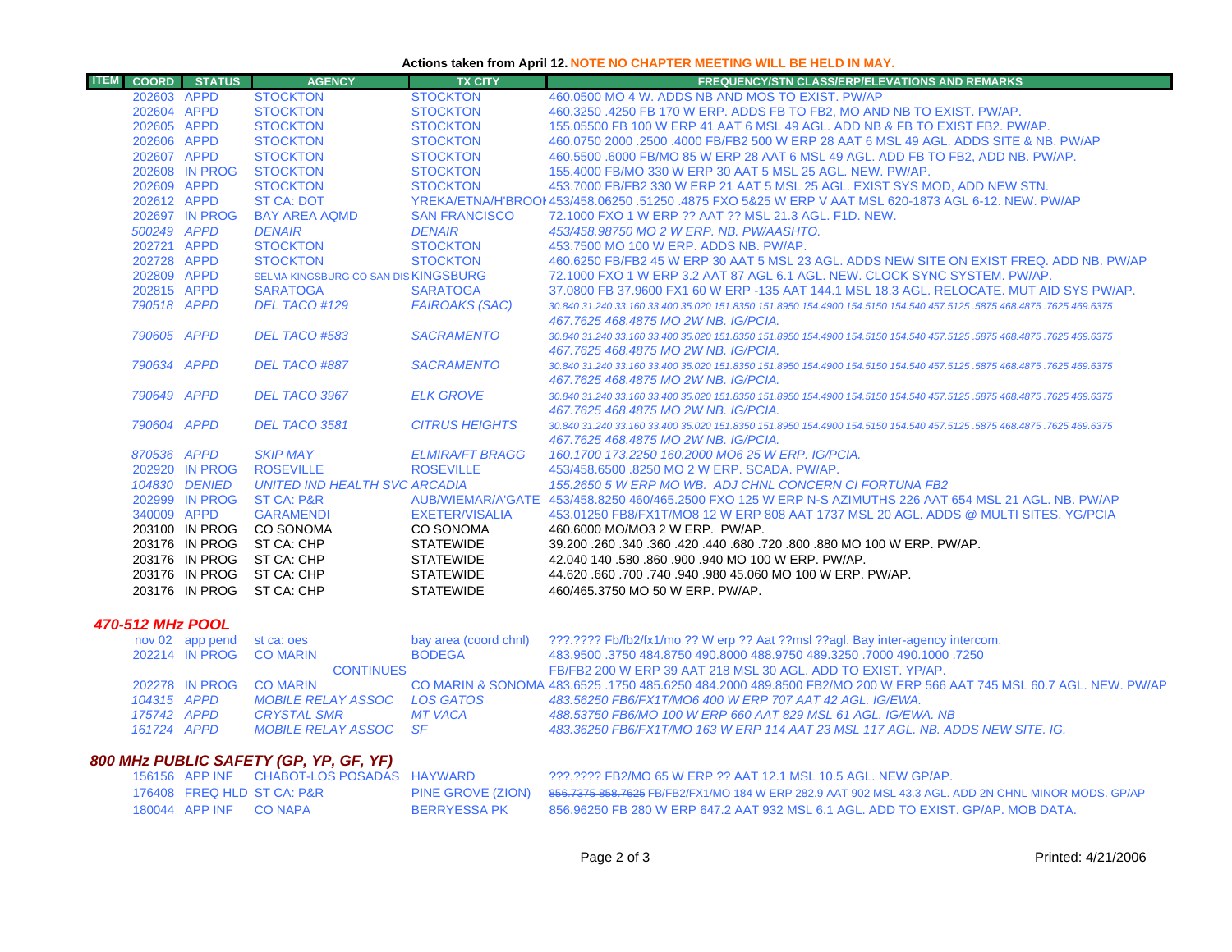### **Actions taken from April 12. NOTE NO CHAPTER MEETING WILL BE HELD IN MAY.**

| <b>ITEM</b>             | <b>COORD</b> | <b>STATUS</b>              | <b>AGENCY</b>                        | <b>TX CITY</b>         | <b>FREQUENCY/STN CLASS/ERP/ELEVATIONS AND REMARKS</b>                                                                 |
|-------------------------|--------------|----------------------------|--------------------------------------|------------------------|-----------------------------------------------------------------------------------------------------------------------|
|                         |              | 202603 APPD                | <b>STOCKTON</b>                      | <b>STOCKTON</b>        | 460,0500 MO 4 W, ADDS NB AND MOS TO EXIST, PW/AP                                                                      |
|                         |              | 202604 APPD                | <b>STOCKTON</b>                      | <b>STOCKTON</b>        | 460.3250 .4250 FB 170 W ERP. ADDS FB TO FB2, MO AND NB TO EXIST, PW/AP.                                               |
|                         |              | 202605 APPD                | <b>STOCKTON</b>                      | <b>STOCKTON</b>        | 155,05500 FB 100 W ERP 41 AAT 6 MSL 49 AGL, ADD NB & FB TO EXIST FB2, PW/AP.                                          |
|                         |              | 202606 APPD                | <b>STOCKTON</b>                      | <b>STOCKTON</b>        | 460,0750 2000 .2500 .4000 FB/FB2 500 W ERP 28 AAT 6 MSL 49 AGL, ADDS SITE & NB, PW/AP                                 |
|                         |              | 202607 APPD                | <b>STOCKTON</b>                      | <b>STOCKTON</b>        | 460,5500,6000 FB/MO 85 W ERP 28 AAT 6 MSL 49 AGL, ADD FB TO FB2, ADD NB, PW/AP,                                       |
|                         |              | 202608 IN PROG             | <b>STOCKTON</b>                      | <b>STOCKTON</b>        | 155,4000 FB/MO 330 W ERP 30 AAT 5 MSL 25 AGL, NEW, PW/AP.                                                             |
|                         |              | 202609 APPD                | <b>STOCKTON</b>                      | <b>STOCKTON</b>        | 453.7000 FB/FB2 330 W ERP 21 AAT 5 MSL 25 AGL. EXIST SYS MOD, ADD NEW STN.                                            |
|                         |              | 202612 APPD                | <b>ST CA: DOT</b>                    |                        | YREKA/ETNA/H'BROOI 453/458.06250 .51250 .4875 FXO 5&25 W ERP V AAT MSL 620-1873 AGL 6-12. NEW, PW/AP                  |
|                         |              | 202697 IN PROG             | <b>BAY AREA AQMD</b>                 | <b>SAN FRANCISCO</b>   | 72.1000 FXO 1 W ERP ?? AAT ?? MSL 21.3 AGL, F1D, NEW.                                                                 |
|                         |              | 500249 APPD                | <b>DENAIR</b>                        | <b>DENAIR</b>          | 453/458.98750 MO 2 W ERP. NB. PW/AASHTO.                                                                              |
|                         |              | 202721 APPD                | <b>STOCKTON</b>                      | <b>STOCKTON</b>        | 453.7500 MO 100 W ERP. ADDS NB. PW/AP.                                                                                |
|                         |              | 202728 APPD                | <b>STOCKTON</b>                      | <b>STOCKTON</b>        | 460,6250 FB/FB2 45 W ERP 30 AAT 5 MSL 23 AGL. ADDS NEW SITE ON EXIST FREQ. ADD NB, PW/AP                              |
|                         |              | 202809 APPD                | SELMA KINGSBURG CO SAN DIS KINGSBURG |                        | 72.1000 FXO 1 W ERP 3.2 AAT 87 AGL 6.1 AGL. NEW. CLOCK SYNC SYSTEM, PW/AP.                                            |
|                         |              | 202815 APPD                | <b>SARATOGA</b>                      | <b>SARATOGA</b>        | 37.0800 FB 37.9600 FX1 60 W ERP -135 AAT 144.1 MSL 18.3 AGL. RELOCATE. MUT AID SYS PW/AP.                             |
|                         |              | 790518 APPD                | DEL TACO #129                        | <b>FAIROAKS (SAC)</b>  | 30.840 31.240 33.160 33.400 35.020 151.8350 151.8950 154.4900 154.5150 154.540 457.5125 .5875 468.4875 .7625 469.6375 |
|                         |              |                            |                                      |                        | 467.7625 468.4875 MO 2W NB. IG/PCIA.                                                                                  |
|                         |              | 790605 APPD                | DEL TACO #583                        | <b>SACRAMENTO</b>      | 30,840 31,240 33,160 33,400 35,020 151,8350 151,8950 154,4900 154,5150 154,540 457,5125 ,5875 468,4875 ,7625 469,6375 |
|                         |              |                            |                                      |                        | 467.7625 468.4875 MO 2W NB. IG/PCIA.                                                                                  |
|                         |              | 790634 APPD                | DEL TACO #887                        | <b>SACRAMENTO</b>      | 30.840 31.240 33.160 33.400 35.020 151.8350 151.8950 154.4900 154.5150 154.540 457.5125 .5875 468.4875 .7625 469.6375 |
|                         |              |                            |                                      |                        | 467.7625 468.4875 MO 2W NB, IG/PCIA,                                                                                  |
|                         |              | 790649 APPD                | DEL TACO 3967                        | <b>ELK GROVE</b>       | 30.840 31.240 33.160 33.400 35.020 151.8350 151.8950 154.4900 154.5150 154.540 457.5125 .5875 468.4875 .7625 469.6375 |
|                         |              |                            |                                      |                        | 467.7625 468.4875 MO 2W NB. IG/PCIA.                                                                                  |
|                         |              | 790604 APPD                | DEL TACO 3581                        | <b>CITRUS HEIGHTS</b>  | 30,840 31,240 33,160 33,400 35,020 151,8350 151,8950 154,4900 154,5150 154,540 457,5125 5875 468,4875 7625 469,6375   |
|                         |              |                            |                                      |                        | 467.7625 468.4875 MO 2W NB, IG/PCIA,                                                                                  |
|                         |              | 870536 APPD                | <b>SKIP MAY</b>                      | <b>ELMIRA/FT BRAGG</b> | 160.1700 173.2250 160.2000 MO6 25 W ERP. IG/PCIA.                                                                     |
|                         |              | 202920 IN PROG             | <b>ROSEVILLE</b>                     | <b>ROSEVILLE</b>       | 453/458,6500,8250 MO 2 W ERP, SCADA, PW/AP.                                                                           |
|                         |              | 104830 DENIED              | <b>UNITED IND HEALTH SVC ARCADIA</b> |                        | 155.2650 5 W ERP MO WB. ADJ CHNL CONCERN CI FORTUNA FB2                                                               |
|                         |              | 202999 IN PROG             | <b>ST CA: P&amp;R</b>                |                        | AUB/WIEMAR/A'GATE 453/458.8250 460/465.2500 FXO 125 W ERP N-S AZIMUTHS 226 AAT 654 MSL 21 AGL. NB. PW/AP              |
|                         |              | 340009 APPD                | <b>GARAMENDI</b>                     | <b>EXETER/VISALIA</b>  | 453.01250 FB8/FX1T/MO8 12 W ERP 808 AAT 1737 MSL 20 AGL. ADDS @ MULTI SITES, YG/PCIA                                  |
|                         |              |                            | 203100 IN PROG CO SONOMA             | CO SONOMA              | 460,6000 MO/MO3 2 W ERP. PW/AP.                                                                                       |
|                         |              |                            | 203176 IN PROG ST CA: CHP            | <b>STATEWIDE</b>       | 39,200,260,340,360,420,440,680,720,800,880 MO 100 W ERP, PW/AP.                                                       |
|                         |              |                            | 203176 IN PROG ST CA: CHP            | <b>STATEWIDE</b>       | 42.040 140 .580 .860 .900 .940 MO 100 W ERP. PW/AP.                                                                   |
|                         |              |                            | 203176 IN PROG ST CA: CHP            | <b>STATEWIDE</b>       | 44.620 .660 .700 .740 .940 .980 45.060 MO 100 W ERP. PW/AP.                                                           |
|                         |              |                            | 203176 IN PROG ST CA: CHP            | <b>STATEWIDE</b>       | 460/465.3750 MO 50 W ERP. PW/AP.                                                                                      |
| <b>470-512 MHz POOL</b> |              |                            |                                      |                        |                                                                                                                       |
|                         |              | nov 02 app pend st ca: oes |                                      |                        | bay area (coord chnl) ???.???? Fb/fb2/fx1/mo ?? W erp ?? Aat ??msl ??agl. Bay inter-agency intercom.                  |
|                         |              | 202214 IN PROG             | <b>CO MARIN</b>                      | <b>BODEGA</b>          | 483,9500 .3750 484,8750 490,8000 488,9750 489,3250 .7000 490,1000 .3750                                               |

| FB/FB2 200 W ERP 39 AAT 218 MSL 30 AGL. ADD TO EXIST, YP/AP.<br><b>CONTINUES</b><br>CO MARIN & SONOMA 483.6525 .1750 485.6250 484.2000 489.8500 FB2/MO 200 W ERP 566 AAT 745 MSL 60.7 AGL. NEW, PW/AP<br>202278 IN PROG CO MARIN<br>483.56250 FB6/FX1T/MO6 400 W ERP 707 AAT 42 AGL, IG/EWA.<br>MOBILE RELAY ASSOC LOS GATOS<br>104315 APPD<br>-488.53750 FB6/MO 100 W ERP 660 AAT 829 MSL 61 AGL. IG/EWA. NB<br>175742 APPD<br>MT VACA<br>CRYSTAI SMR<br>483.36250 FB6/FX1T/MO 163 W ERP 114 AAT 23 MSL 117 AGL. NB. ADDS NEW SITE. IG.<br>MOBILE RELAY ASSOC SE<br>161724 APPD |  | 202214 IN PROG CO MARIN | <b>BUDEGA</b> | .483.9500 .1000 .3750 .484.8750 .490.8000 .488.9750 .489.3250 .000 .3750 .483.9500 |
|----------------------------------------------------------------------------------------------------------------------------------------------------------------------------------------------------------------------------------------------------------------------------------------------------------------------------------------------------------------------------------------------------------------------------------------------------------------------------------------------------------------------------------------------------------------------------------|--|-------------------------|---------------|------------------------------------------------------------------------------------|
|                                                                                                                                                                                                                                                                                                                                                                                                                                                                                                                                                                                  |  |                         |               |                                                                                    |
|                                                                                                                                                                                                                                                                                                                                                                                                                                                                                                                                                                                  |  |                         |               |                                                                                    |
|                                                                                                                                                                                                                                                                                                                                                                                                                                                                                                                                                                                  |  |                         |               |                                                                                    |
|                                                                                                                                                                                                                                                                                                                                                                                                                                                                                                                                                                                  |  |                         |               |                                                                                    |
|                                                                                                                                                                                                                                                                                                                                                                                                                                                                                                                                                                                  |  |                         |               |                                                                                    |

# *800 MHz PUBLIC SAFETY (GP, YP, GF, YF)*

|                        | 156156 APP INF CHABOT-LOS POSADAS HAYWARD |              | ???.???? FB2/MO 65 W ERP ?? AAT 12.1 MSL 10.5 AGL. NEW GP/AP.                                                         |
|------------------------|-------------------------------------------|--------------|-----------------------------------------------------------------------------------------------------------------------|
|                        | 176408 FREQ HLD ST CA: P&R                |              | PINE GROVE (ZION) 856.7375 858.7625 FB/FB2/FX1/MO 184 W ERP 282.9 AAT 902 MSL 43.3 AGL. ADD 2N CHNL MINOR MODS. GP/AP |
| 180044 APP INF CO NAPA |                                           | BERRYESSA PK | 856.96250 FB 280 W ERP 647.2 AAT 932 MSL 6.1 AGL. ADD TO EXIST. GP/AP. MOB DATA.                                      |